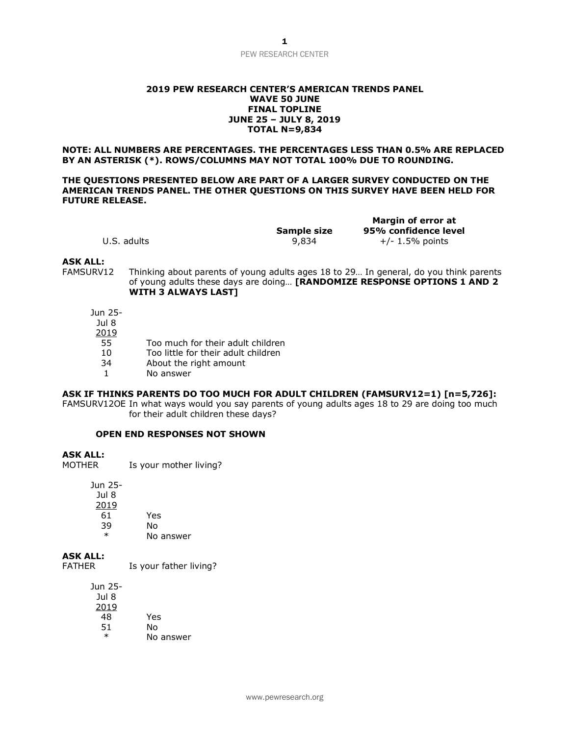#### **2019 PEW RESEARCH CENTER'S AMERICAN TRENDS PANEL WAVE 50 JUNE FINAL TOPLINE JUNE 25 – JULY 8, 2019 TOTAL N=9,834**

**NOTE: ALL NUMBERS ARE PERCENTAGES. THE PERCENTAGES LESS THAN 0.5% ARE REPLACED BY AN ASTERISK (\*). ROWS/COLUMNS MAY NOT TOTAL 100% DUE TO ROUNDING.**

#### **THE QUESTIONS PRESENTED BELOW ARE PART OF A LARGER SURVEY CONDUCTED ON THE AMERICAN TRENDS PANEL. THE OTHER QUESTIONS ON THIS SURVEY HAVE BEEN HELD FOR FUTURE RELEASE.**

|             |             | <b>Margin of error a</b> |  |
|-------------|-------------|--------------------------|--|
|             | Sample size | 95% confidence le        |  |
| U.S. adults | 9,834       | $+/- 1.5%$ points        |  |

**Margin of error at**  dence level

### **ASK ALL:**

FAMSURV12 Thinking about parents of young adults ages 18 to 29… In general, do you think parents of young adults these days are doing… **[RANDOMIZE RESPONSE OPTIONS 1 AND 2 WITH 3 ALWAYS LAST]**

Jun 25-

- Jul 8
- 2019
- 55 Too much for their adult children
- 10 Too little for their adult children
- 34 About the right amount
- 1 No answer

## **ASK IF THINKS PARENTS DO TOO MUCH FOR ADULT CHILDREN (FAMSURV12=1) [n=5,726]:**

FAMSURV12OE In what ways would you say parents of young adults ages 18 to 29 are doing too much for their adult children these days?

#### **OPEN END RESPONSES NOT SHOWN**

## **ASK ALL:**

MOTHER Is your mother living?

Jun 25-

| Jul 8  |           |
|--------|-----------|
| 2019   |           |
| 61     | Yes       |
| 39     | N٥        |
| $\ast$ | No answer |

**ASK ALL:**

FATHER Is your father living?

Jun 25- Jul 8 2019 48 Yes 51 No \* No answer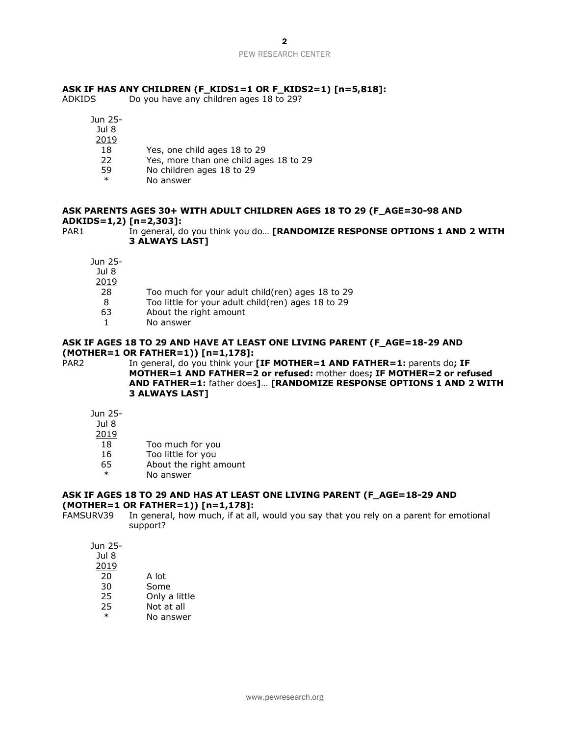## **ASK IF HAS ANY CHILDREN (F\_KIDS1=1 OR F\_KIDS2=1) [n=5,818]:**

ADKIDS Do you have any children ages 18 to 29?

- Jun 25-
- Jul 8
- 2019
- 18 Yes, one child ages 18 to 29
- 22 Yes, more than one child ages 18 to 29
- 59 No children ages 18 to 29
	- No answer

## **ASK PARENTS AGES 30+ WITH ADULT CHILDREN AGES 18 TO 29 (F\_AGE=30-98 AND ADKIDS=1,2) [n=2,303]:**

PAR1 In general, do you think you do... **[RANDOMIZE RESPONSE OPTIONS 1 AND 2 WITH 3 ALWAYS LAST]**

Jun 25-

- Jul 8 2019 28 Too much for your adult child(ren) ages 18 to 29
- 8 Too little for your adult child(ren) ages 18 to 29
- 
- 63 About the right amount
- 1 No answer

#### **ASK IF AGES 18 TO 29 AND HAVE AT LEAST ONE LIVING PARENT (F\_AGE=18-29 AND (MOTHER=1 OR FATHER=1)) [n=1,178]:**

PAR2 In general, do you think your **[IF MOTHER=1 AND FATHER=1:** parents do; IF **MOTHER=1 AND FATHER=2 or refused:** mother does**; IF MOTHER=2 or refused AND FATHER=1:** father does**]**… **[RANDOMIZE RESPONSE OPTIONS 1 AND 2 WITH 3 ALWAYS LAST]**

Jun 25-

Jul 8

- 2019
- 18 Too much for you
- 16 Too little for you
- 65 About the right amount
- No answer

#### **ASK IF AGES 18 TO 29 AND HAS AT LEAST ONE LIVING PARENT (F\_AGE=18-29 AND (MOTHER=1 OR FATHER=1)) [n=1,178]:**

FAMSURV39 In general, how much, if at all, would you say that you rely on a parent for emotional support?

Jun 25-

| Jul 8        |               |
|--------------|---------------|
| <u> 2019</u> |               |
| 20           | A lot         |
| 30           | Some          |
| 25           | Only a little |

- 25 Not at all
- No answer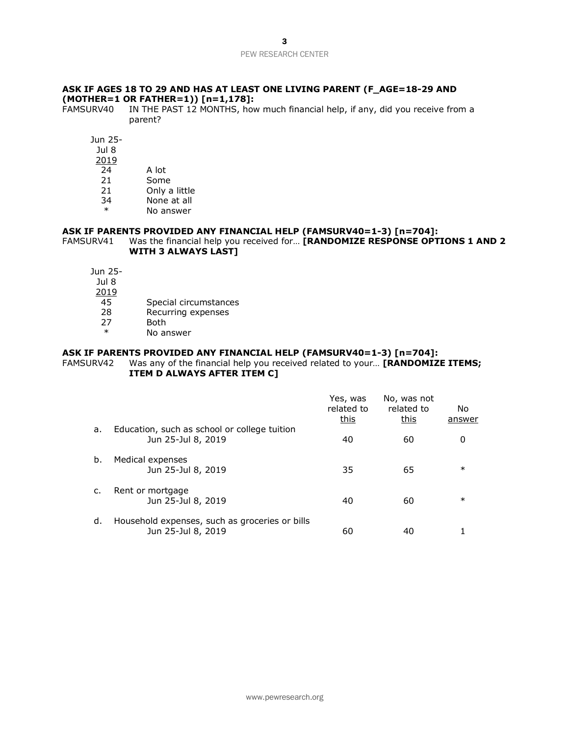## **ASK IF AGES 18 TO 29 AND HAS AT LEAST ONE LIVING PARENT (F\_AGE=18-29 AND (MOTHER=1 OR FATHER=1)) [n=1,178]:**

FAMSURV40 IN THE PAST 12 MONTHS, how much financial help, if any, did you receive from a parent?

- Jun 25- Jul 8 2019 24 A lot 21 Some 21 Only a little 34 None at all
	- \* No answer

## **ASK IF PARENTS PROVIDED ANY FINANCIAL HELP (FAMSURV40=1-3) [n=704]:**

## FAMSURV41 Was the financial help you received for… **[RANDOMIZE RESPONSE OPTIONS 1 AND 2 WITH 3 ALWAYS LAST]**

Jun 25- Jul 8 2019 45 Special circumstances 28 Recurring expenses<br>27 Both 27 Both<br>\* No.3r No answer

#### **ASK IF PARENTS PROVIDED ANY FINANCIAL HELP (FAMSURV40=1-3) [n=704]:**

## FAMSURV42 Was any of the financial help you received related to your… **[RANDOMIZE ITEMS; ITEM D ALWAYS AFTER ITEM C]**

|    |                                                                      | Yes, was<br>related to<br>this | No, was not<br>related to<br>this | No.<br>answer |
|----|----------------------------------------------------------------------|--------------------------------|-----------------------------------|---------------|
| a. | Education, such as school or college tuition<br>Jun 25-Jul 8, 2019   | 40                             | 60                                | 0             |
| b. | Medical expenses<br>Jun 25-Jul 8, 2019                               | 35                             | 65                                | $\ast$        |
| c. | Rent or mortgage<br>Jun 25-Jul 8, 2019                               | 40                             | 60                                | $\ast$        |
| d. | Household expenses, such as groceries or bills<br>Jun 25-Jul 8, 2019 | 60                             | 40                                |               |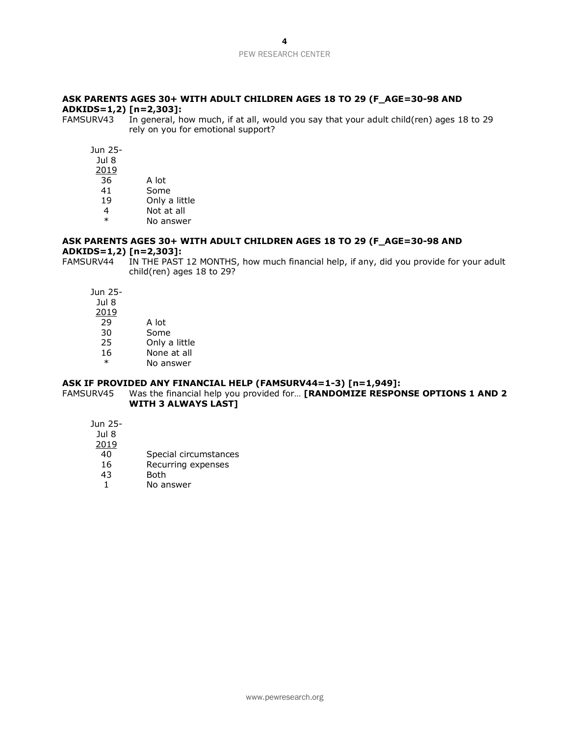## **ASK PARENTS AGES 30+ WITH ADULT CHILDREN AGES 18 TO 29 (F\_AGE=30-98 AND ADKIDS=1,2) [n=2,303]:**

FAMSURV43 In general, how much, if at all, would you say that your adult child(ren) ages 18 to 29 rely on you for emotional support?

Jun 25-

Jul 8 2019

- 36 A lot
- 41 Some
- 19 Only a little
- 4 Not at all \* No answer

## **ASK PARENTS AGES 30+ WITH ADULT CHILDREN AGES 18 TO 29 (F\_AGE=30-98 AND ADKIDS=1,2) [n=2,303]:**

FAMSURV44 IN THE PAST 12 MONTHS, how much financial help, if any, did you provide for your adult child(ren) ages 18 to 29?

Jun 25-

- Jul 8 2019 29 A lot 30 Some 25 Only a little
- 16 None at all
- \* No answer

# **ASK IF PROVIDED ANY FINANCIAL HELP (FAMSURV44=1-3) [n=1,949]:**<br>FAMSURV45 Was the financial help you provided for... **[RANDOMIZE RESPO**I

Was the financial help you provided for... **[RANDOMIZE RESPONSE OPTIONS 1 AND 2 WITH 3 ALWAYS LAST]**

Jun 25-

- Jul 8
- 2019
- 40 Special circumstances
- 16 Recurring expenses<br>43 Both
- **Both**
- 1 No answer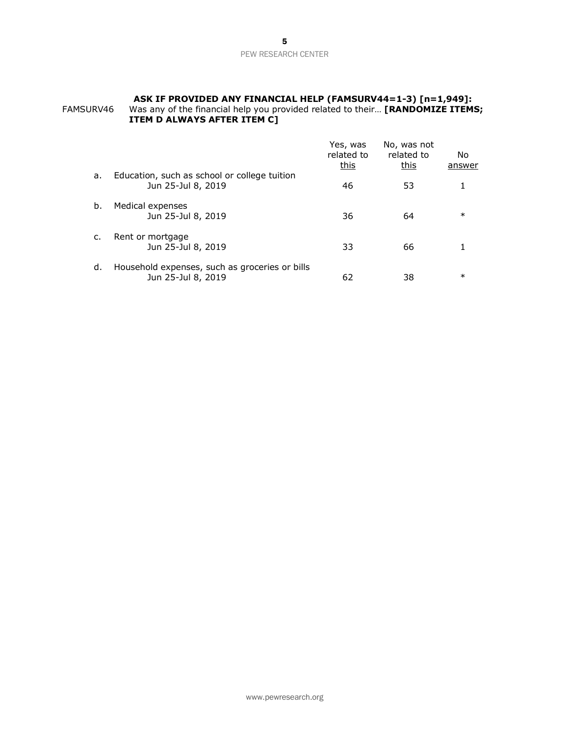#### **ASK IF PROVIDED ANY FINANCIAL HELP (FAMSURV44=1-3) [n=1,949]:** FAMSURV46 Was any of the financial help you provided related to their… **[RANDOMIZE ITEMS; ITEM D ALWAYS AFTER ITEM C]**

|    |                                                                      | Yes, was<br>related to<br>this | No, was not<br>related to<br>this | No.<br>answer |
|----|----------------------------------------------------------------------|--------------------------------|-----------------------------------|---------------|
| a. | Education, such as school or college tuition<br>Jun 25-Jul 8, 2019   | 46                             | 53                                |               |
| b. | Medical expenses<br>Jun 25-Jul 8, 2019                               | 36                             | 64                                | $\ast$        |
| C. | Rent or mortgage<br>Jun 25-Jul 8, 2019                               | 33                             | 66                                |               |
| d. | Household expenses, such as groceries or bills<br>Jun 25-Jul 8, 2019 | 62                             | 38                                | $\ast$        |